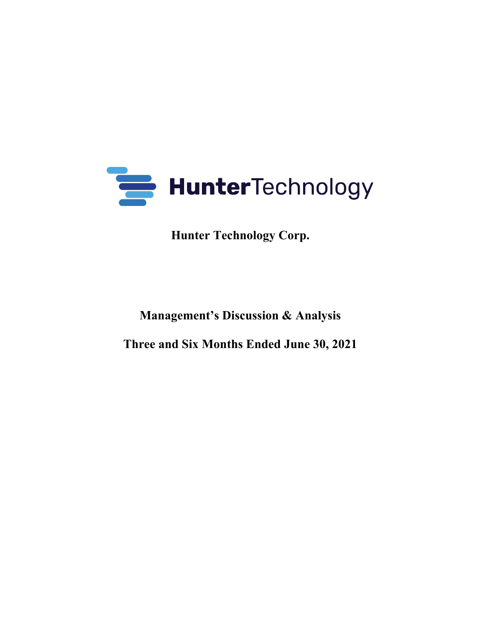

**Hunter Technology Corp.** 

**Management's Discussion & Analysis**

**Three and Six Months Ended June 30, 2021**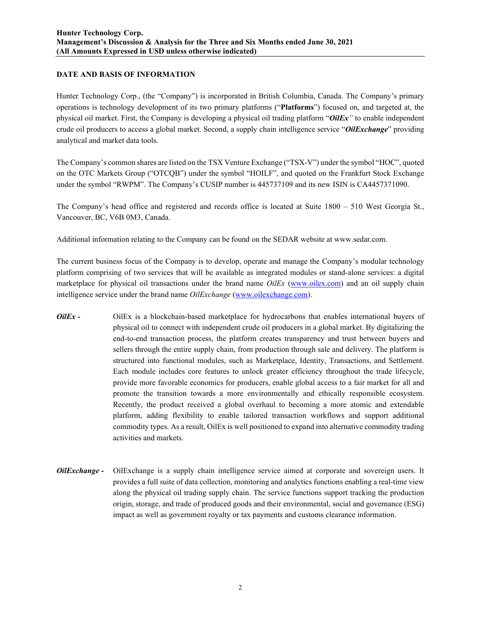# **DATE AND BASIS OF INFORMATION**

Hunter Technology Corp., (the "Company") is incorporated in British Columbia, Canada. The Company's primary operations is technology development of its two primary platforms ("**Platforms**") focused on, and targeted at, the physical oil market. First, the Company is developing a physical oil trading platform "*OilEx"* to enable independent crude oil producers to access a global market. Second, a supply chain intelligence service "*OilExchange*" providing analytical and market data tools.

The Company's common shares are listed on the TSX Venture Exchange ("TSX-V") under the symbol "HOC", quoted on the OTC Markets Group ("OTCQB") under the symbol "HOILF", and quoted on the Frankfurt Stock Exchange under the symbol "RWPM". The Company's CUSIP number is 445737109 and its new ISIN is CA4457371090.

The Company's head office and registered and records office is located at Suite 1800 – 510 West Georgia St., Vancouver, BC, V6B 0M3, Canada.

Additional information relating to the Company can be found on the SEDAR website at www.sedar.com.

The current business focus of the Company is to develop, operate and manage the Company's modular technology platform comprising of two services that will be available as integrated modules or stand-alone services: a digital marketplace for physical oil transactions under the brand name *OilEx* (www.oilex.com) and an oil supply chain intelligence service under the brand name *OilExchange* (www.oilexchange.com).

- *OilEx* OilEx is a blockchain-based marketplace for hydrocarbons that enables international buyers of physical oil to connect with independent crude oil producers in a global market. By digitalizing the end-to-end transaction process, the platform creates transparency and trust between buyers and sellers through the entire supply chain, from production through sale and delivery. The platform is structured into functional modules, such as Marketplace, Identity, Transactions, and Settlement. Each module includes core features to unlock greater efficiency throughout the trade lifecycle, provide more favorable economics for producers, enable global access to a fair market for all and promote the transition towards a more environmentally and ethically responsible ecosystem. Recently, the product received a global overhaul to becoming a more atomic and extendable platform, adding flexibility to enable tailored transaction workflows and support additional commodity types. As a result, OilEx is well positioned to expand into alternative commodity trading activities and markets.
- *OilExchange -* OilExchange is a supply chain intelligence service aimed at corporate and sovereign users. It provides a full suite of data collection, monitoring and analytics functions enabling a real-time view along the physical oil trading supply chain. The service functions support tracking the production origin, storage, and trade of produced goods and their environmental, social and governance (ESG) impact as well as government royalty or tax payments and customs clearance information.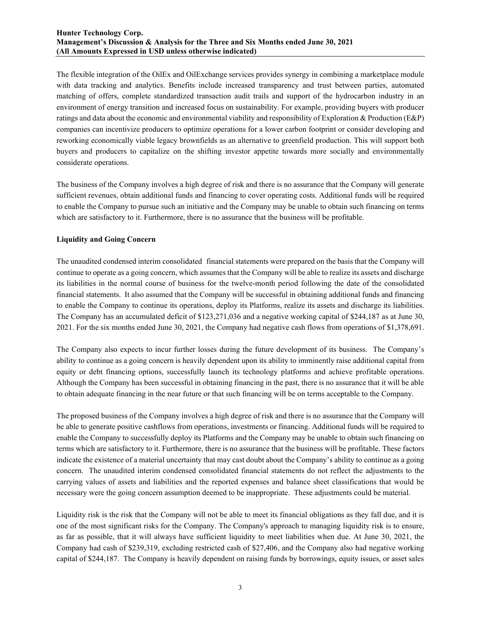The flexible integration of the OilEx and OilExchange services provides synergy in combining a marketplace module with data tracking and analytics. Benefits include increased transparency and trust between parties, automated matching of offers, complete standardized transaction audit trails and support of the hydrocarbon industry in an environment of energy transition and increased focus on sustainability. For example, providing buyers with producer ratings and data about the economic and environmental viability and responsibility of Exploration & Production (E&P) companies can incentivize producers to optimize operations for a lower carbon footprint or consider developing and reworking economically viable legacy brownfields as an alternative to greenfield production. This will support both buyers and producers to capitalize on the shifting investor appetite towards more socially and environmentally considerate operations.

The business of the Company involves a high degree of risk and there is no assurance that the Company will generate sufficient revenues, obtain additional funds and financing to cover operating costs. Additional funds will be required to enable the Company to pursue such an initiative and the Company may be unable to obtain such financing on terms which are satisfactory to it. Furthermore, there is no assurance that the business will be profitable.

# **Liquidity and Going Concern**

The unaudited condensed interim consolidated financial statements were prepared on the basis that the Company will continue to operate as a going concern, which assumes that the Company will be able to realize its assets and discharge its liabilities in the normal course of business for the twelve-month period following the date of the consolidated financial statements. It also assumed that the Company will be successful in obtaining additional funds and financing to enable the Company to continue its operations, deploy its Platforms, realize its assets and discharge its liabilities. The Company has an accumulated deficit of \$123,271,036 and a negative working capital of \$244,187 as at June 30, 2021. For the six months ended June 30, 2021, the Company had negative cash flows from operations of \$1,378,691.

The Company also expects to incur further losses during the future development of its business. The Company's ability to continue as a going concern is heavily dependent upon its ability to imminently raise additional capital from equity or debt financing options, successfully launch its technology platforms and achieve profitable operations. Although the Company has been successful in obtaining financing in the past, there is no assurance that it will be able to obtain adequate financing in the near future or that such financing will be on terms acceptable to the Company.

The proposed business of the Company involves a high degree of risk and there is no assurance that the Company will be able to generate positive cashflows from operations, investments or financing. Additional funds will be required to enable the Company to successfully deploy its Platforms and the Company may be unable to obtain such financing on terms which are satisfactory to it. Furthermore, there is no assurance that the business will be profitable. These factors indicate the existence of a material uncertainty that may cast doubt about the Company's ability to continue as a going concern. The unaudited interim condensed consolidated financial statements do not reflect the adjustments to the carrying values of assets and liabilities and the reported expenses and balance sheet classifications that would be necessary were the going concern assumption deemed to be inappropriate. These adjustments could be material.

Liquidity risk is the risk that the Company will not be able to meet its financial obligations as they fall due, and it is one of the most significant risks for the Company. The Company's approach to managing liquidity risk is to ensure, as far as possible, that it will always have sufficient liquidity to meet liabilities when due. At June 30, 2021, the Company had cash of \$239,319, excluding restricted cash of \$27,406, and the Company also had negative working capital of \$244,187. The Company is heavily dependent on raising funds by borrowings, equity issues, or asset sales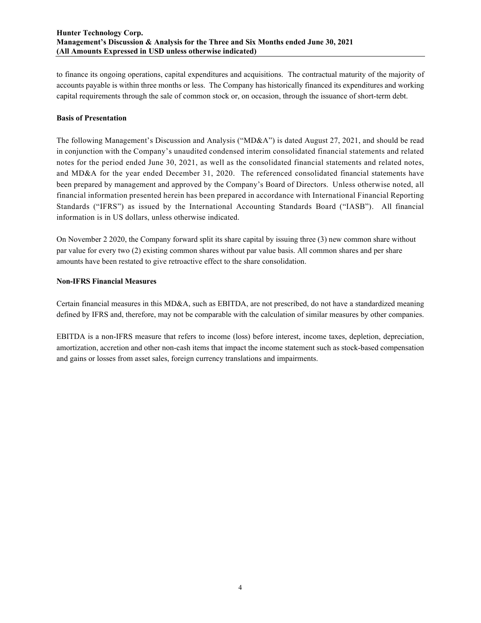to finance its ongoing operations, capital expenditures and acquisitions. The contractual maturity of the majority of accounts payable is within three months or less. The Company has historically financed its expenditures and working capital requirements through the sale of common stock or, on occasion, through the issuance of short-term debt.

### **Basis of Presentation**

The following Management's Discussion and Analysis ("MD&A") is dated August 27, 2021, and should be read in conjunction with the Company's unaudited condensed interim consolidated financial statements and related notes for the period ended June 30, 2021, as well as the consolidated financial statements and related notes, and MD&A for the year ended December 31, 2020. The referenced consolidated financial statements have been prepared by management and approved by the Company's Board of Directors. Unless otherwise noted, all financial information presented herein has been prepared in accordance with International Financial Reporting Standards ("IFRS") as issued by the International Accounting Standards Board ("IASB"). All financial information is in US dollars, unless otherwise indicated.

On November 2 2020, the Company forward split its share capital by issuing three (3) new common share without par value for every two (2) existing common shares without par value basis. All common shares and per share amounts have been restated to give retroactive effect to the share consolidation.

# **Non-IFRS Financial Measures**

Certain financial measures in this MD&A, such as EBITDA, are not prescribed, do not have a standardized meaning defined by IFRS and, therefore, may not be comparable with the calculation of similar measures by other companies.

EBITDA is a non-IFRS measure that refers to income (loss) before interest, income taxes, depletion, depreciation, amortization, accretion and other non-cash items that impact the income statement such as stock-based compensation and gains or losses from asset sales, foreign currency translations and impairments.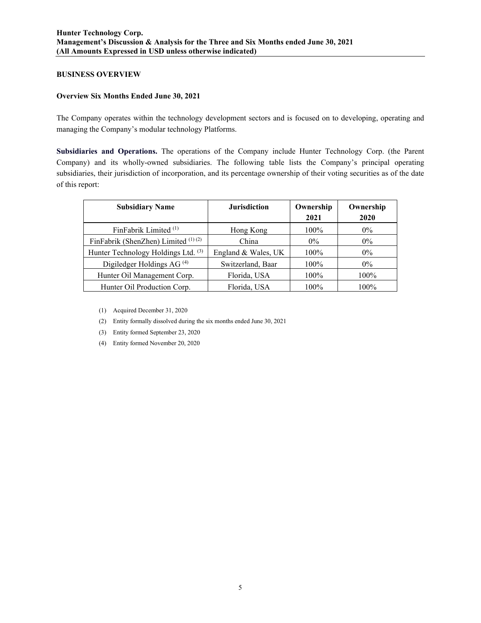### **BUSINESS OVERVIEW**

### **Overview Six Months Ended June 30, 2021**

The Company operates within the technology development sectors and is focused on to developing, operating and managing the Company's modular technology Platforms.

**Subsidiaries and Operations.** The operations of the Company include Hunter Technology Corp. (the Parent Company) and its wholly-owned subsidiaries. The following table lists the Company's principal operating subsidiaries, their jurisdiction of incorporation, and its percentage ownership of their voting securities as of the date of this report:

| <b>Subsidiary Name</b>                | <b>Jurisdiction</b> | Ownership<br>2021 | Ownership<br>2020 |
|---------------------------------------|---------------------|-------------------|-------------------|
| FinFabrik Limited $(1)$               | Hong Kong           | $100\%$           | $0\%$             |
| FinFabrik (ShenZhen) Limited (1)(2)   | China               | $0\%$             | $0\%$             |
| Hunter Technology Holdings Ltd. (3)   | England & Wales, UK | $100\%$           | $0\%$             |
| Digiledger Holdings AG <sup>(4)</sup> | Switzerland, Baar   | 100%              | $0\%$             |
| Hunter Oil Management Corp.           | Florida, USA        | $100\%$           | 100%              |
| Hunter Oil Production Corp.           | Florida, USA        | 100%              | 100%              |

(1) Acquired December 31, 2020

- (2) Entity formally dissolved during the six months ended June 30, 2021
- (3) Entity formed September 23, 2020
- (4) Entity formed November 20, 2020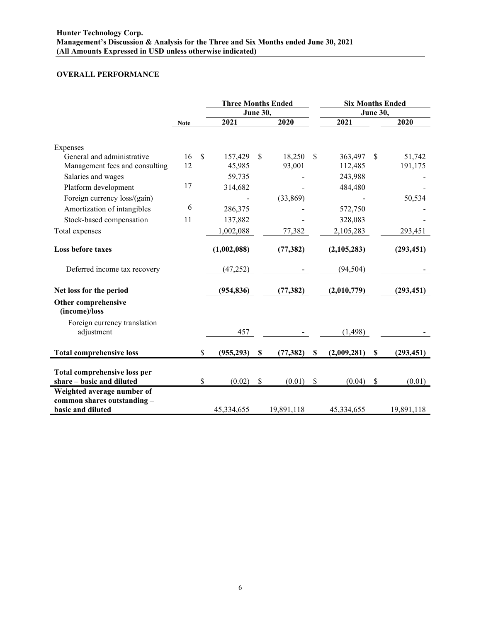# **OVERALL PERFORMANCE**

|                                                                                | <b>Three Months Ended</b> |               |             |                 | <b>Six Months Ended</b> |                   |                 |            |
|--------------------------------------------------------------------------------|---------------------------|---------------|-------------|-----------------|-------------------------|-------------------|-----------------|------------|
|                                                                                |                           |               |             | <b>June 30,</b> |                         |                   | <b>June 30,</b> |            |
|                                                                                | <b>Note</b>               |               | 2021        |                 | 2020                    | 2021              |                 | 2020       |
|                                                                                |                           |               |             |                 |                         |                   |                 |            |
| Expenses<br>General and administrative                                         | 16                        | $\mathcal{S}$ | 157,429     | \$              | 18,250                  | \$<br>363,497     | \$              | 51,742     |
| Management fees and consulting                                                 | 12                        |               | 45,985      |                 | 93,001                  | 112,485           |                 | 191,175    |
| Salaries and wages                                                             |                           |               | 59,735      |                 |                         | 243,988           |                 |            |
| Platform development                                                           | 17                        |               | 314,682     |                 |                         | 484,480           |                 |            |
| Foreign currency loss/(gain)                                                   |                           |               |             |                 | (33,869)                |                   |                 | 50,534     |
| Amortization of intangibles                                                    | 6                         |               | 286,375     |                 |                         | 572,750           |                 |            |
| Stock-based compensation                                                       | 11                        |               | 137,882     |                 |                         | 328,083           |                 |            |
| Total expenses                                                                 |                           |               | 1,002,088   |                 | 77,382                  | 2,105,283         |                 | 293,451    |
|                                                                                |                           |               |             |                 |                         |                   |                 |            |
| <b>Loss before taxes</b>                                                       |                           |               | (1,002,088) |                 | (77, 382)               | (2,105,283)       |                 | (293, 451) |
| Deferred income tax recovery                                                   |                           |               | (47, 252)   |                 |                         | (94, 504)         |                 |            |
| Net loss for the period                                                        |                           |               | (954, 836)  |                 | (77, 382)               | (2,010,779)       |                 | (293, 451) |
| Other comprehensive<br>(income)/loss                                           |                           |               |             |                 |                         |                   |                 |            |
| Foreign currency translation<br>adjustment                                     |                           |               | 457         |                 |                         | (1, 498)          |                 |            |
| <b>Total comprehensive loss</b>                                                |                           | \$            | (955, 293)  | \$              | (77, 382)               | \$<br>(2,009,281) | \$              | (293, 451) |
|                                                                                |                           |               |             |                 |                         |                   |                 |            |
| Total comprehensive loss per<br>share – basic and diluted                      |                           | \$            | (0.02)      | \$              | (0.01)                  | \$<br>(0.04)      | $\mathcal{S}$   | (0.01)     |
| Weighted average number of<br>common shares outstanding -<br>basic and diluted |                           |               | 45,334,655  |                 | 19,891,118              | 45,334,655        |                 | 19,891,118 |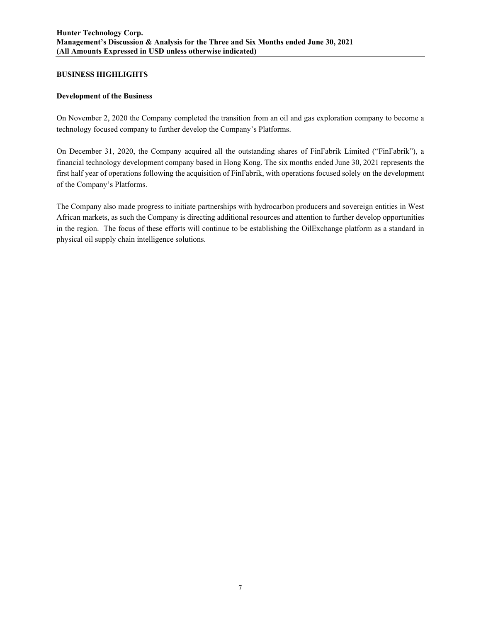#### **BUSINESS HIGHLIGHTS**

#### **Development of the Business**

On November 2, 2020 the Company completed the transition from an oil and gas exploration company to become a technology focused company to further develop the Company's Platforms.

On December 31, 2020, the Company acquired all the outstanding shares of FinFabrik Limited ("FinFabrik"), a financial technology development company based in Hong Kong. The six months ended June 30, 2021 represents the first half year of operations following the acquisition of FinFabrik, with operations focused solely on the development of the Company's Platforms.

The Company also made progress to initiate partnerships with hydrocarbon producers and sovereign entities in West African markets, as such the Company is directing additional resources and attention to further develop opportunities in the region. The focus of these efforts will continue to be establishing the OilExchange platform as a standard in physical oil supply chain intelligence solutions.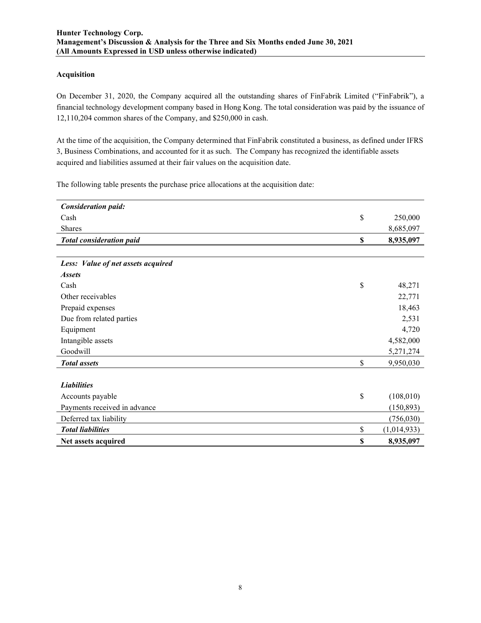#### **Acquisition**

On December 31, 2020, the Company acquired all the outstanding shares of FinFabrik Limited ("FinFabrik"), a financial technology development company based in Hong Kong. The total consideration was paid by the issuance of 12,110,204 common shares of the Company, and \$250,000 in cash.

At the time of the acquisition, the Company determined that FinFabrik constituted a business, as defined under IFRS 3, Business Combinations, and accounted for it as such. The Company has recognized the identifiable assets acquired and liabilities assumed at their fair values on the acquisition date.

The following table presents the purchase price allocations at the acquisition date:

| <b>Consideration paid:</b>         |                   |
|------------------------------------|-------------------|
| Cash                               | \$<br>250,000     |
| Shares                             | 8,685,097         |
| <b>Total consideration paid</b>    | \$<br>8,935,097   |
|                                    |                   |
| Less: Value of net assets acquired |                   |
| <i><b>Assets</b></i>               |                   |
| Cash                               | \$<br>48,271      |
| Other receivables                  | 22,771            |
| Prepaid expenses                   | 18,463            |
| Due from related parties           | 2,531             |
| Equipment                          | 4,720             |
| Intangible assets                  | 4,582,000         |
| Goodwill                           | 5,271,274         |
| <b>Total</b> assets                | \$<br>9,950,030   |
|                                    |                   |
| <b>Liabilities</b>                 |                   |
| Accounts payable                   | \$<br>(108,010)   |
| Payments received in advance       | (150, 893)        |
| Deferred tax liability             | (756, 030)        |
| <b>Total liabilities</b>           | \$<br>(1,014,933) |
| Net assets acquired                | \$<br>8,935,097   |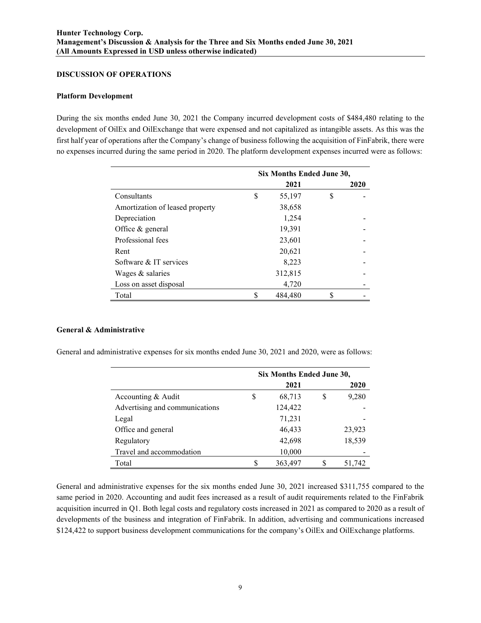#### **DISCUSSION OF OPERATIONS**

#### **Platform Development**

During the six months ended June 30, 2021 the Company incurred development costs of \$484,480 relating to the development of OilEx and OilExchange that were expensed and not capitalized as intangible assets. As this was the first half year of operations after the Company's change of business following the acquisition of FinFabrik, there were no expenses incurred during the same period in 2020. The platform development expenses incurred were as follows:

|                                 | Six Months Ended June 30, |         |   |      |  |
|---------------------------------|---------------------------|---------|---|------|--|
|                                 |                           | 2021    |   | 2020 |  |
| Consultants                     | \$                        | 55,197  | S |      |  |
| Amortization of leased property |                           | 38,658  |   |      |  |
| Depreciation                    |                           | 1,254   |   |      |  |
| Office & general                |                           | 19,391  |   |      |  |
| Professional fees               |                           | 23,601  |   |      |  |
| Rent                            |                           | 20,621  |   |      |  |
| Software & IT services          |                           | 8,223   |   |      |  |
| Wages & salaries                |                           | 312,815 |   |      |  |
| Loss on asset disposal          |                           | 4,720   |   |      |  |
| Total                           | \$                        | 484,480 | S |      |  |

#### **General & Administrative**

General and administrative expenses for six months ended June 30, 2021 and 2020, were as follows:

|                                | Six Months Ended June 30, |         |   |        |  |
|--------------------------------|---------------------------|---------|---|--------|--|
|                                |                           | 2021    |   | 2020   |  |
| Accounting & Audit             | \$                        | 68,713  | S | 9,280  |  |
| Advertising and communications |                           | 124,422 |   |        |  |
| Legal                          |                           | 71,231  |   |        |  |
| Office and general             |                           | 46,433  |   | 23,923 |  |
| Regulatory                     |                           | 42,698  |   | 18,539 |  |
| Travel and accommodation       |                           | 10,000  |   |        |  |
| Total                          |                           | 363,497 |   | 51,742 |  |

General and administrative expenses for the six months ended June 30, 2021 increased \$311,755 compared to the same period in 2020. Accounting and audit fees increased as a result of audit requirements related to the FinFabrik acquisition incurred in Q1. Both legal costs and regulatory costs increased in 2021 as compared to 2020 as a result of developments of the business and integration of FinFabrik. In addition, advertising and communications increased \$124,422 to support business development communications for the company's OilEx and OilExchange platforms.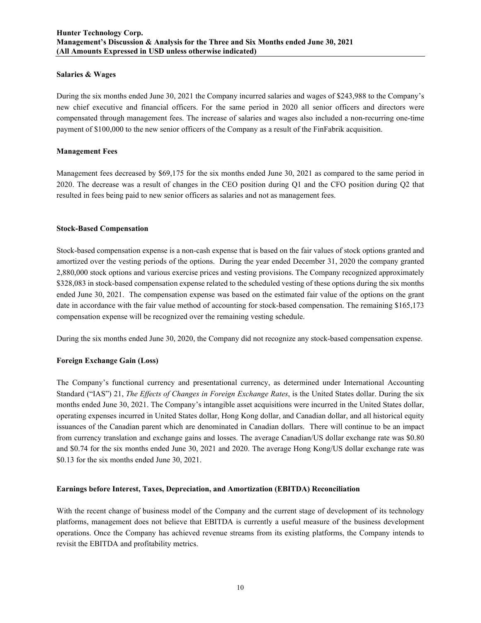#### **Salaries & Wages**

During the six months ended June 30, 2021 the Company incurred salaries and wages of \$243,988 to the Company's new chief executive and financial officers. For the same period in 2020 all senior officers and directors were compensated through management fees. The increase of salaries and wages also included a non-recurring one-time payment of \$100,000 to the new senior officers of the Company as a result of the FinFabrik acquisition.

#### **Management Fees**

Management fees decreased by \$69,175 for the six months ended June 30, 2021 as compared to the same period in 2020. The decrease was a result of changes in the CEO position during Q1 and the CFO position during Q2 that resulted in fees being paid to new senior officers as salaries and not as management fees.

#### **Stock-Based Compensation**

Stock-based compensation expense is a non-cash expense that is based on the fair values of stock options granted and amortized over the vesting periods of the options. During the year ended December 31, 2020 the company granted 2,880,000 stock options and various exercise prices and vesting provisions. The Company recognized approximately \$328,083 in stock-based compensation expense related to the scheduled vesting of these options during the six months ended June 30, 2021. The compensation expense was based on the estimated fair value of the options on the grant date in accordance with the fair value method of accounting for stock-based compensation. The remaining \$165,173 compensation expense will be recognized over the remaining vesting schedule.

During the six months ended June 30, 2020, the Company did not recognize any stock-based compensation expense.

#### **Foreign Exchange Gain (Loss)**

The Company's functional currency and presentational currency, as determined under International Accounting Standard ("IAS") 21, *The Effects of Changes in Foreign Exchange Rates*, is the United States dollar. During the six months ended June 30, 2021. The Company's intangible asset acquisitions were incurred in the United States dollar, operating expenses incurred in United States dollar, Hong Kong dollar, and Canadian dollar, and all historical equity issuances of the Canadian parent which are denominated in Canadian dollars. There will continue to be an impact from currency translation and exchange gains and losses. The average Canadian/US dollar exchange rate was \$0.80 and \$0.74 for the six months ended June 30, 2021 and 2020. The average Hong Kong/US dollar exchange rate was \$0.13 for the six months ended June 30, 2021.

#### **Earnings before Interest, Taxes, Depreciation, and Amortization (EBITDA) Reconciliation**

With the recent change of business model of the Company and the current stage of development of its technology platforms, management does not believe that EBITDA is currently a useful measure of the business development operations. Once the Company has achieved revenue streams from its existing platforms, the Company intends to revisit the EBITDA and profitability metrics.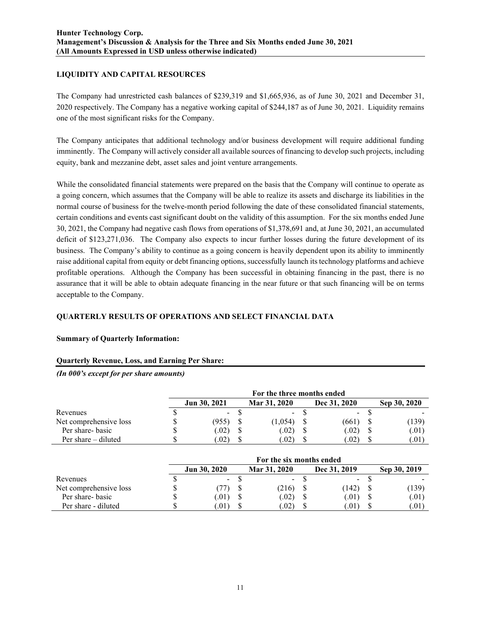# **LIQUIDITY AND CAPITAL RESOURCES**

The Company had unrestricted cash balances of \$239,319 and \$1,665,936, as of June 30, 2021 and December 31, 2020 respectively. The Company has a negative working capital of \$244,187 as of June 30, 2021. Liquidity remains one of the most significant risks for the Company.

The Company anticipates that additional technology and/or business development will require additional funding imminently. The Company will actively consider all available sources of financing to develop such projects, including equity, bank and mezzanine debt, asset sales and joint venture arrangements.

While the consolidated financial statements were prepared on the basis that the Company will continue to operate as a going concern, which assumes that the Company will be able to realize its assets and discharge its liabilities in the normal course of business for the twelve-month period following the date of these consolidated financial statements, certain conditions and events cast significant doubt on the validity of this assumption. For the six months ended June 30, 2021, the Company had negative cash flows from operations of \$1,378,691 and, at June 30, 2021, an accumulated deficit of \$123,271,036. The Company also expects to incur further losses during the future development of its business. The Company's ability to continue as a going concern is heavily dependent upon its ability to imminently raise additional capital from equity or debt financing options, successfully launch its technology platforms and achieve profitable operations. Although the Company has been successful in obtaining financing in the past, there is no assurance that it will be able to obtain adequate financing in the near future or that such financing will be on terms acceptable to the Company.

# **QUARTERLY RESULTS OF OPERATIONS AND SELECT FINANCIAL DATA**

#### **Summary of Quarterly Information:**

#### **Quarterly Revenue, Loss, and Earning Per Share:**

*(In 000's except for per share amounts)*

|                        | For the three months ended |  |               |  |                |  |              |
|------------------------|----------------------------|--|---------------|--|----------------|--|--------------|
|                        | Jun 30, 2021               |  | Mar 31, 2020  |  | Dec 31, 2020   |  | Sep 30, 2020 |
| Revenues               | $\sim$                     |  | $\sim$ $-$    |  | $\sim$ 10 $\,$ |  |              |
| Net comprehensive loss | (955)                      |  | (1,054)       |  | (661)          |  | (139)        |
| Per share- basic       | .02)                       |  | (0.02)        |  | (0.02)         |  | (.01)        |
| Per share – diluted    | .02)                       |  | $.02^{\circ}$ |  | .02)           |  | (.01)        |

|                        |              | For the six months ended |              |              |
|------------------------|--------------|--------------------------|--------------|--------------|
|                        | Jun 30, 2020 | Mar 31, 2020             | Dec 31, 2019 | Sep 30, 2019 |
| Revenues               | $\sim$       | $\sim$                   | $\sim$       |              |
| Net comprehensive loss |              | (216)                    | (142)        | (139)        |
| Per share-basic        | .01)         | (0.02)                   | (.01)        | (.01)        |
| Per share - diluted    | 0.01         | $.02^{\circ}$            | .01)         | 0.01         |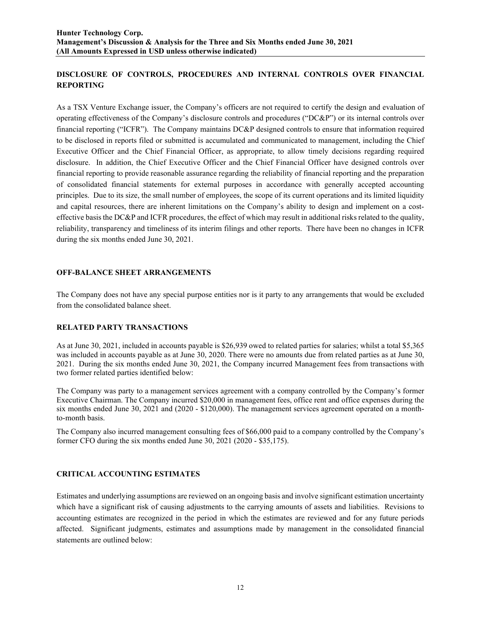# **DISCLOSURE OF CONTROLS, PROCEDURES AND INTERNAL CONTROLS OVER FINANCIAL REPORTING**

As a TSX Venture Exchange issuer, the Company's officers are not required to certify the design and evaluation of operating effectiveness of the Company's disclosure controls and procedures ("DC&P") or its internal controls over financial reporting ("ICFR"). The Company maintains DC&P designed controls to ensure that information required to be disclosed in reports filed or submitted is accumulated and communicated to management, including the Chief Executive Officer and the Chief Financial Officer, as appropriate, to allow timely decisions regarding required disclosure. In addition, the Chief Executive Officer and the Chief Financial Officer have designed controls over financial reporting to provide reasonable assurance regarding the reliability of financial reporting and the preparation of consolidated financial statements for external purposes in accordance with generally accepted accounting principles. Due to its size, the small number of employees, the scope of its current operations and its limited liquidity and capital resources, there are inherent limitations on the Company's ability to design and implement on a costeffective basis the DC&P and ICFR procedures, the effect of which may result in additional risks related to the quality, reliability, transparency and timeliness of its interim filings and other reports. There have been no changes in ICFR during the six months ended June 30, 2021.

# **OFF-BALANCE SHEET ARRANGEMENTS**

The Company does not have any special purpose entities nor is it party to any arrangements that would be excluded from the consolidated balance sheet.

#### **RELATED PARTY TRANSACTIONS**

As at June 30, 2021, included in accounts payable is \$26,939 owed to related parties for salaries; whilst a total \$5,365 was included in accounts payable as at June 30, 2020. There were no amounts due from related parties as at June 30, 2021. During the six months ended June 30, 2021, the Company incurred Management fees from transactions with two former related parties identified below:

The Company was party to a management services agreement with a company controlled by the Company's former Executive Chairman. The Company incurred \$20,000 in management fees, office rent and office expenses during the six months ended June 30, 2021 and (2020 - \$120,000). The management services agreement operated on a monthto-month basis.

The Company also incurred management consulting fees of \$66,000 paid to a company controlled by the Company's former CFO during the six months ended June 30, 2021 (2020 - \$35,175).

# **CRITICAL ACCOUNTING ESTIMATES**

Estimates and underlying assumptions are reviewed on an ongoing basis and involve significant estimation uncertainty which have a significant risk of causing adjustments to the carrying amounts of assets and liabilities. Revisions to accounting estimates are recognized in the period in which the estimates are reviewed and for any future periods affected. Significant judgments, estimates and assumptions made by management in the consolidated financial statements are outlined below: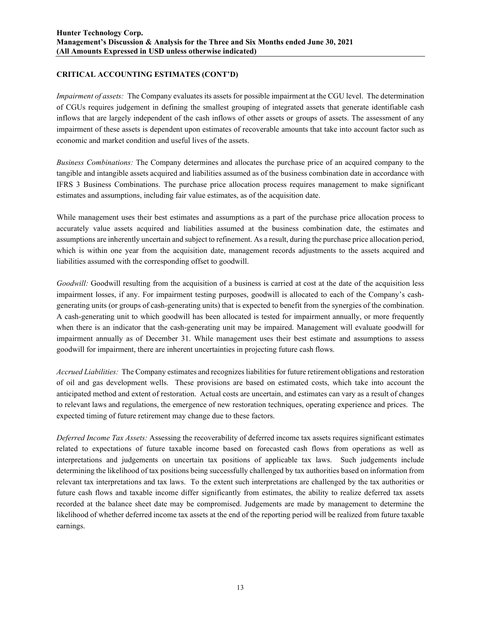# **CRITICAL ACCOUNTING ESTIMATES (CONT'D)**

*Impairment of assets:* The Company evaluates its assets for possible impairment at the CGU level. The determination of CGUs requires judgement in defining the smallest grouping of integrated assets that generate identifiable cash inflows that are largely independent of the cash inflows of other assets or groups of assets. The assessment of any impairment of these assets is dependent upon estimates of recoverable amounts that take into account factor such as economic and market condition and useful lives of the assets.

*Business Combinations:* The Company determines and allocates the purchase price of an acquired company to the tangible and intangible assets acquired and liabilities assumed as of the business combination date in accordance with IFRS 3 Business Combinations. The purchase price allocation process requires management to make significant estimates and assumptions, including fair value estimates, as of the acquisition date.

While management uses their best estimates and assumptions as a part of the purchase price allocation process to accurately value assets acquired and liabilities assumed at the business combination date, the estimates and assumptions are inherently uncertain and subject to refinement. As a result, during the purchase price allocation period, which is within one year from the acquisition date, management records adjustments to the assets acquired and liabilities assumed with the corresponding offset to goodwill.

*Goodwill:* Goodwill resulting from the acquisition of a business is carried at cost at the date of the acquisition less impairment losses, if any. For impairment testing purposes, goodwill is allocated to each of the Company's cashgenerating units (or groups of cash-generating units) that is expected to benefit from the synergies of the combination. A cash-generating unit to which goodwill has been allocated is tested for impairment annually, or more frequently when there is an indicator that the cash-generating unit may be impaired. Management will evaluate goodwill for impairment annually as of December 31. While management uses their best estimate and assumptions to assess goodwill for impairment, there are inherent uncertainties in projecting future cash flows.

*Accrued Liabilities:* The Company estimates and recognizes liabilities for future retirement obligations and restoration of oil and gas development wells. These provisions are based on estimated costs, which take into account the anticipated method and extent of restoration. Actual costs are uncertain, and estimates can vary as a result of changes to relevant laws and regulations, the emergence of new restoration techniques, operating experience and prices. The expected timing of future retirement may change due to these factors.

*Deferred Income Tax Assets:* Assessing the recoverability of deferred income tax assets requires significant estimates related to expectations of future taxable income based on forecasted cash flows from operations as well as interpretations and judgements on uncertain tax positions of applicable tax laws. Such judgements include determining the likelihood of tax positions being successfully challenged by tax authorities based on information from relevant tax interpretations and tax laws. To the extent such interpretations are challenged by the tax authorities or future cash flows and taxable income differ significantly from estimates, the ability to realize deferred tax assets recorded at the balance sheet date may be compromised. Judgements are made by management to determine the likelihood of whether deferred income tax assets at the end of the reporting period will be realized from future taxable earnings.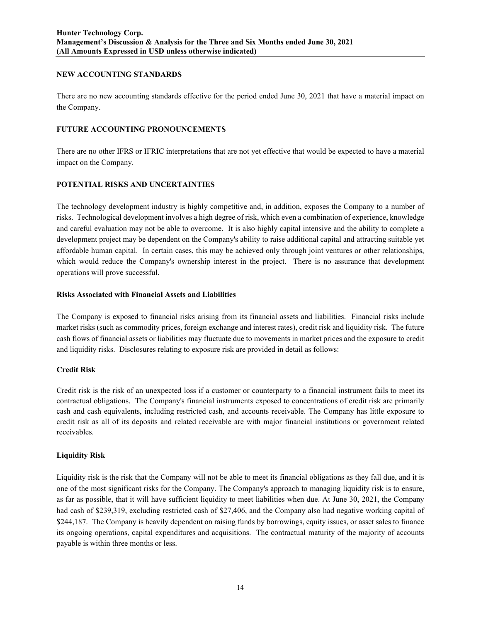### **NEW ACCOUNTING STANDARDS**

There are no new accounting standards effective for the period ended June 30, 2021 that have a material impact on the Company.

# **FUTURE ACCOUNTING PRONOUNCEMENTS**

There are no other IFRS or IFRIC interpretations that are not yet effective that would be expected to have a material impact on the Company.

# **POTENTIAL RISKS AND UNCERTAINTIES**

The technology development industry is highly competitive and, in addition, exposes the Company to a number of risks. Technological development involves a high degree of risk, which even a combination of experience, knowledge and careful evaluation may not be able to overcome. It is also highly capital intensive and the ability to complete a development project may be dependent on the Company's ability to raise additional capital and attracting suitable yet affordable human capital. In certain cases, this may be achieved only through joint ventures or other relationships, which would reduce the Company's ownership interest in the project. There is no assurance that development operations will prove successful.

#### **Risks Associated with Financial Assets and Liabilities**

The Company is exposed to financial risks arising from its financial assets and liabilities. Financial risks include market risks (such as commodity prices, foreign exchange and interest rates), credit risk and liquidity risk. The future cash flows of financial assets or liabilities may fluctuate due to movements in market prices and the exposure to credit and liquidity risks. Disclosures relating to exposure risk are provided in detail as follows:

#### **Credit Risk**

Credit risk is the risk of an unexpected loss if a customer or counterparty to a financial instrument fails to meet its contractual obligations. The Company's financial instruments exposed to concentrations of credit risk are primarily cash and cash equivalents, including restricted cash, and accounts receivable. The Company has little exposure to credit risk as all of its deposits and related receivable are with major financial institutions or government related receivables.

#### **Liquidity Risk**

Liquidity risk is the risk that the Company will not be able to meet its financial obligations as they fall due, and it is one of the most significant risks for the Company. The Company's approach to managing liquidity risk is to ensure, as far as possible, that it will have sufficient liquidity to meet liabilities when due. At June 30, 2021, the Company had cash of \$239,319, excluding restricted cash of \$27,406, and the Company also had negative working capital of \$244,187. The Company is heavily dependent on raising funds by borrowings, equity issues, or asset sales to finance its ongoing operations, capital expenditures and acquisitions. The contractual maturity of the majority of accounts payable is within three months or less.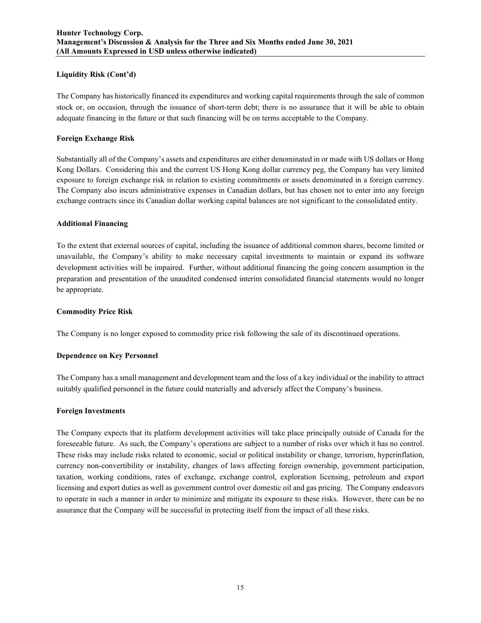### **Liquidity Risk (Cont'd)**

The Company has historically financed its expenditures and working capital requirements through the sale of common stock or, on occasion, through the issuance of short-term debt; there is no assurance that it will be able to obtain adequate financing in the future or that such financing will be on terms acceptable to the Company.

### **Foreign Exchange Risk**

Substantially all of the Company's assets and expenditures are either denominated in or made with US dollars or Hong Kong Dollars. Considering this and the current US Hong Kong dollar currency peg, the Company has very limited exposure to foreign exchange risk in relation to existing commitments or assets denominated in a foreign currency. The Company also incurs administrative expenses in Canadian dollars, but has chosen not to enter into any foreign exchange contracts since its Canadian dollar working capital balances are not significant to the consolidated entity.

#### **Additional Financing**

To the extent that external sources of capital, including the issuance of additional common shares, become limited or unavailable, the Company's ability to make necessary capital investments to maintain or expand its software development activities will be impaired. Further, without additional financing the going concern assumption in the preparation and presentation of the unaudited condensed interim consolidated financial statements would no longer be appropriate.

### **Commodity Price Risk**

The Company is no longer exposed to commodity price risk following the sale of its discontinued operations.

#### **Dependence on Key Personnel**

The Company has a small management and development team and the loss of a key individual or the inability to attract suitably qualified personnel in the future could materially and adversely affect the Company's business.

#### **Foreign Investments**

The Company expects that its platform development activities will take place principally outside of Canada for the foreseeable future. As such, the Company's operations are subject to a number of risks over which it has no control. These risks may include risks related to economic, social or political instability or change, terrorism, hyperinflation, currency non-convertibility or instability, changes of laws affecting foreign ownership, government participation, taxation, working conditions, rates of exchange, exchange control, exploration licensing, petroleum and export licensing and export duties as well as government control over domestic oil and gas pricing. The Company endeavors to operate in such a manner in order to minimize and mitigate its exposure to these risks. However, there can be no assurance that the Company will be successful in protecting itself from the impact of all these risks.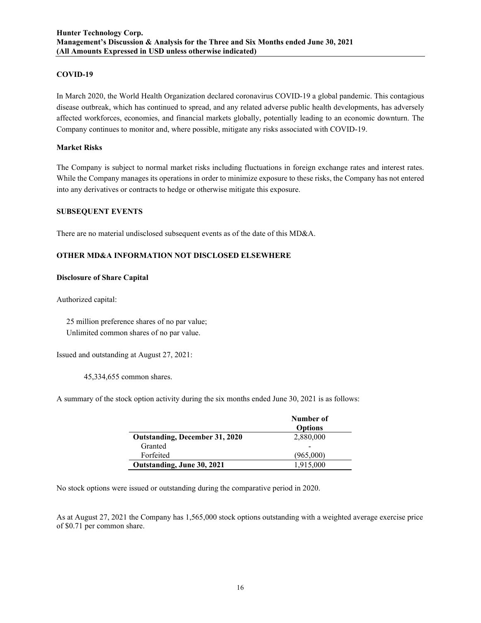### **COVID-19**

In March 2020, the World Health Organization declared coronavirus COVID-19 a global pandemic. This contagious disease outbreak, which has continued to spread, and any related adverse public health developments, has adversely affected workforces, economies, and financial markets globally, potentially leading to an economic downturn. The Company continues to monitor and, where possible, mitigate any risks associated with COVID-19.

### **Market Risks**

The Company is subject to normal market risks including fluctuations in foreign exchange rates and interest rates. While the Company manages its operations in order to minimize exposure to these risks, the Company has not entered into any derivatives or contracts to hedge or otherwise mitigate this exposure.

#### **SUBSEQUENT EVENTS**

There are no material undisclosed subsequent events as of the date of this MD&A.

# **OTHER MD&A INFORMATION NOT DISCLOSED ELSEWHERE**

#### **Disclosure of Share Capital**

Authorized capital:

 25 million preference shares of no par value; Unlimited common shares of no par value.

Issued and outstanding at August 27, 2021:

45,334,655 common shares.

A summary of the stock option activity during the six months ended June 30, 2021 is as follows:

|                                       | Number of<br><b>Options</b> |
|---------------------------------------|-----------------------------|
| <b>Outstanding, December 31, 2020</b> | 2,880,000                   |
| Granted                               |                             |
| Forfeited                             | (965,000)                   |
| Outstanding, June 30, 2021            | 1.915.000                   |

No stock options were issued or outstanding during the comparative period in 2020.

As at August 27, 2021 the Company has 1,565,000 stock options outstanding with a weighted average exercise price of \$0.71 per common share.